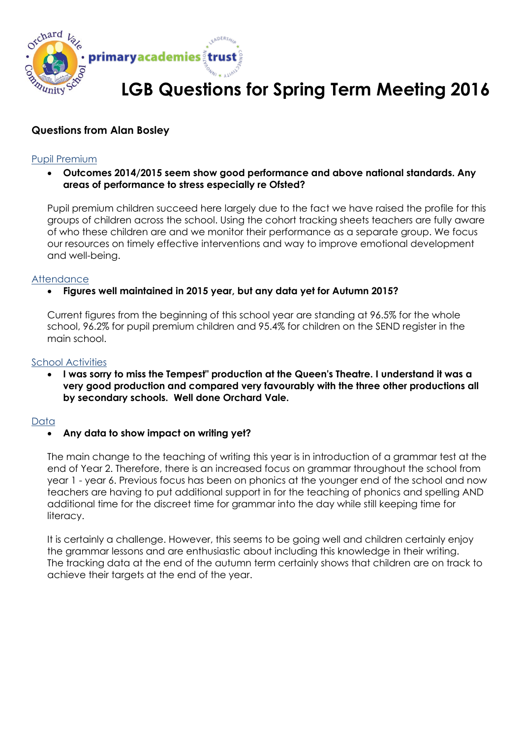

# **LGB Questions for Spring Term Meeting 2016**

## **Questions from Alan Bosley**

#### Pupil Premium

### **Outcomes 2014/2015 seem show good performance and above national standards. Any areas of performance to stress especially re Ofsted?**

Pupil premium children succeed here largely due to the fact we have raised the profile for this groups of children across the school. Using the cohort tracking sheets teachers are fully aware of who these children are and we monitor their performance as a separate group. We focus our resources on timely effective interventions and way to improve emotional development and well-being.

#### **Attendance**

## **Figures well maintained in 2015 year, but any data yet for Autumn 2015?**

Current figures from the beginning of this school year are standing at 96.5% for the whole school, 96.2% for pupil premium children and 95.4% for children on the SEND register in the main school.

#### School Activities

 **I was sorry to miss the Tempest" production at the Queen's Theatre. I understand it was a very good production and compared very favourably with the three other productions all by secondary schools. Well done Orchard Vale.**

#### Data

#### **Any data to show impact on writing yet?**

The main change to the teaching of writing this year is in introduction of a grammar test at the end of Year 2. Therefore, there is an increased focus on grammar throughout the school from year 1 - year 6. Previous focus has been on phonics at the younger end of the school and now teachers are having to put additional support in for the teaching of phonics and spelling AND additional time for the discreet time for grammar into the day while still keeping time for literacy.

It is certainly a challenge. However, this seems to be going well and children certainly enjoy the grammar lessons and are enthusiastic about including this knowledge in their writing. The tracking data at the end of the autumn term certainly shows that children are on track to achieve their targets at the end of the year.